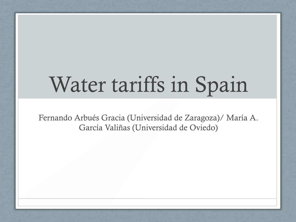# Water tariffs in Spain

Fernando Arbués Gracia (Universidad de Zaragoza)/ María A. García Valiñas (Universidad de Oviedo)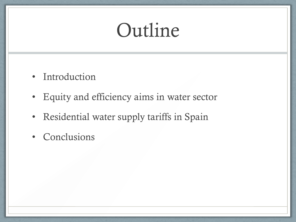## Outline

- Introduction
- Equity and efficiency aims in water sector
- Residential water supply tariffs in Spain
- Conclusions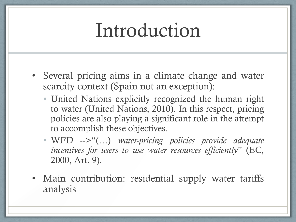#### Introduction

- Several pricing aims in a climate change and water scarcity context (Spain not an exception):
	- United Nations explicitly recognized the human right to water (United Nations, 2010). In this respect, pricing policies are also playing a significant role in the attempt to accomplish these objectives.
	- WFD -->"(…) *water-pricing policies provide adequate incentives for users to use water resources efficiently*" (EC, 2000, Art. 9).
- Main contribution: residential supply water tariffs analysis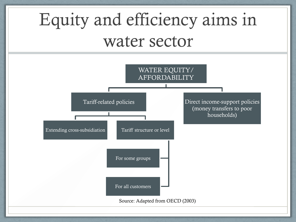### Equity and efficiency aims in water sector

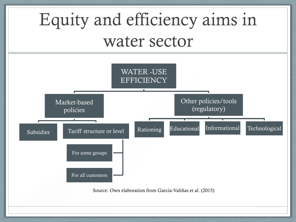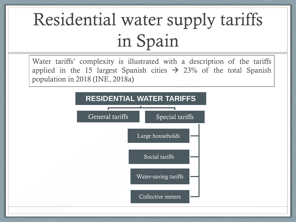population in 2018 (INE, 2018a)Water tariffs' complexity is illustrated with a description of the tariffs applied in the 15 largest Spanish cities  $\rightarrow$  23% of the total Spanish

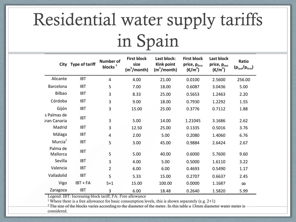| City                        | <b>Type of tariff</b> | <b>Number of</b><br>blocks $1$ | <b>First block</b><br>size<br>(m <sup>3</sup> /month) | Last block:<br><b>Kink point</b><br>(m <sup>3</sup> /month) | <b>First block</b><br>price, pfirst<br>$(\epsilon/m^3)$ | Last block<br>price, plast<br>$(\epsilon/m^3)$ | Ratio<br>(p <sub>last</sub> /p <sub>first</sub> ) |
|-----------------------------|-----------------------|--------------------------------|-------------------------------------------------------|-------------------------------------------------------------|---------------------------------------------------------|------------------------------------------------|---------------------------------------------------|
| Alicante                    | <b>IBT</b>            | $\overline{4}$                 | 4.00                                                  | 21.00                                                       | 0.0100                                                  | 2.5600                                         | 256.00                                            |
| Barcelona                   | <b>IBT</b>            | 5                              | 7.00                                                  | 18.00                                                       | 0.6087                                                  | 3.0436                                         | 5.00                                              |
| Bilbao                      | <b>IBT</b>            | 3                              | 8.33                                                  | 25.00                                                       | 0.5653                                                  | 1.2463                                         | 2.20                                              |
| Córdoba                     | <b>IBT</b>            | 3                              | 9.00                                                  | 18.00                                                       | 0.7930                                                  | 1.2292                                         | 1.55                                              |
| Gijón                       | <b>IBT</b>            | 3                              | 15.00                                                 | 25.00                                                       | 0.3776                                                  | 0.7112                                         | 1.88                                              |
| s Palmas de<br>iran Canaria | <b>IBT</b>            | 3                              | 5.00                                                  | 14.00                                                       | 1.21045                                                 | 3.1686                                         | 2.62                                              |
| Madrid                      | <b>IBT</b>            | 3                              | 12.50                                                 | 25.00                                                       | 0.1335                                                  | 0.5016                                         | 3.76                                              |
| Málaga                      | <b>IBT</b>            | 4                              | 2.00                                                  | 5.00                                                        | 0.2080                                                  | 1.4060                                         | 6.76                                              |
| Murcia <sup>2</sup>         | <b>IBT</b>            | 5                              | 3.00                                                  | 45.00                                                       | 0.9884                                                  | 2.6424                                         | 2.67                                              |
| Palma de<br>Mallorca        | <b>IBT</b>            | 5                              | 5.00                                                  | 40.00                                                       | 0.6000                                                  | 5.7600                                         | 9.60                                              |
| Sevilla                     | <b>IBT</b>            | 3                              | 4.00                                                  | 5.00                                                        | 0.5000                                                  | 1.6110                                         | 3.22                                              |
| Valencia                    | <b>IBT</b>            | $\overline{2}$                 | 6.00                                                  | 6.00                                                        | 0.4693                                                  | 0.5490                                         | 1.17                                              |
| Valladolid                  | <b>IBT</b>            | 5                              | 5.33                                                  | 15.00                                                       | 0.2707                                                  | 0.6637                                         | 2.45                                              |
| Vigo                        | $IBT + FA$            | $5 + 1$                        | 15.00                                                 | 100.00                                                      | 0.0000                                                  | 1.1687                                         | $\infty$                                          |
| Zaragoza                    | <b>IBT</b>            | 3                              | 6.00                                                  | 18.48                                                       | 0.2640                                                  | 1.5820                                         | 5.99                                              |

 Legend: IBT: Increasing block tariff; FA: Free allowance

<sup>1</sup> Where there is a free allowance for basic consumption levels, this is shown separately (e.g.  $2+1$ )

 $2$  The size of the blocks varies according to the diameter of the meter. In this table a 13mm diameter water meter is considered.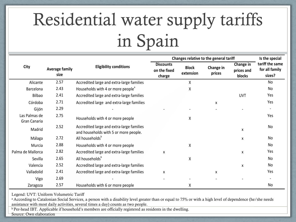|                               |                               | <b>Eligibility conditions</b>                                                      | Changes relative to the general tariff     | Is the special            |                     |                                   |                                             |
|-------------------------------|-------------------------------|------------------------------------------------------------------------------------|--------------------------------------------|---------------------------|---------------------|-----------------------------------|---------------------------------------------|
| City                          | <b>Average family</b><br>size |                                                                                    | <b>Discounts</b><br>on the fixed<br>charge | <b>Block</b><br>extension | Change in<br>prices | Change in<br>prices and<br>blocks | tariff the same<br>for all family<br>sizes? |
| Alicante                      | 2.57                          | Accredited large and extra-large families                                          |                                            | $\sf X$                   |                     |                                   | No                                          |
| Barcelona                     | 2.43                          | Households with 4 or more people <sup>®</sup>                                      |                                            | Χ                         |                     |                                   | No                                          |
| Bilbao                        | 2.41                          | Accredited large and extra-large families                                          |                                            |                           |                     | <b>UVT</b>                        | Yes                                         |
| Córdoba                       | 2.71                          | Accredited large and extra-large families                                          |                                            |                           | X                   |                                   | Yes                                         |
| Gijón                         | 2.29                          |                                                                                    |                                            |                           |                     |                                   |                                             |
| Las Palmas de<br>Gran Canaria | 2.75                          | Households with 4 or more people                                                   |                                            | Χ                         |                     |                                   | Yes                                         |
| Madrid                        | 2.52                          | Accredited large and extra-large families<br>and households with 5 or more people. |                                            |                           |                     | X                                 | No                                          |
| Málaga                        | 2.72                          | All households <sup>b</sup>                                                        |                                            |                           |                     | X                                 | No                                          |
| Murcia                        | 2.88                          | Households with 4 or more people                                                   |                                            | Χ                         |                     |                                   | No                                          |
| Palma de Mallorca             | 2.82                          | Accredited large and extra-large families                                          | X                                          |                           |                     | x                                 | Yes                                         |
| Sevilla                       | 2.65                          | All households <sup>b</sup>                                                        |                                            | X                         |                     |                                   | <b>No</b>                                   |
| Valencia                      | 2.52                          | Accredited large and extra-large families                                          |                                            |                           |                     | x                                 | No                                          |
| Valladolid                    | 2.41                          | Accredited large and extra-large families                                          | X                                          |                           | X                   |                                   | Yes                                         |
| Vigo                          | 2.69                          |                                                                                    |                                            |                           |                     |                                   |                                             |
| Zaragoza                      | 2.57                          | Households with 6 or more people                                                   |                                            | X                         |                     |                                   | No                                          |

 Legend: UVT: Uniform Volumetric Tariff

<sup>a</sup> According to Catalonian Social Services, a person with a disability level greater than or equal to 75% or with a high level of dependence (he/she needs assistance with most daily activities, several times a day) counts as two people.

b Per-head IBT. Applicable if household's members are officially registered as residents in the dwelling.

Source: Own elaboration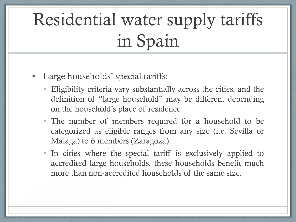#### • Large households' special tariffs:

- Eligibility criteria vary substantially across the cities, and the definition of "large household" may be different depending on the household's place of residence
- The number of members required for a household to be categorized as eligible ranges from any size (i.e. Sevilla or Málaga) to 6 members (Zaragoza)
- In cities where the special tariff is exclusively applied to accredited large households, these households benefit much more than non-accredited households of the same size.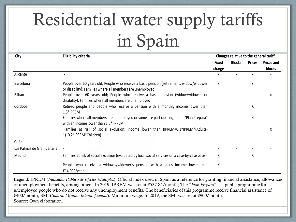| City                       | <b>Eligibility criteria</b>                                                                                                                          | Changes relative to the general tariff |               |               |                   |
|----------------------------|------------------------------------------------------------------------------------------------------------------------------------------------------|----------------------------------------|---------------|---------------|-------------------|
|                            |                                                                                                                                                      | Fixed                                  | <b>Blocks</b> | <b>Prices</b> | <b>Prices and</b> |
|                            |                                                                                                                                                      | charge                                 |               |               | blocks            |
| Alicante                   |                                                                                                                                                      |                                        |               |               |                   |
| Barcelona                  | People over 60 years old; People who receive a basic pension (retirement, widow/widower<br>or disability); Families where all members are unemployed | X                                      |               | x             |                   |
| Bilbao                     | People over 60 years old; People who receive a basic pension (widow/widower or<br>disability); Families where all members are unemployed             |                                        |               |               | x                 |
| Córdoba                    | Retired people and people who receive a pension with a monthly income lower than<br>1.5*IPREM                                                        |                                        |               | χ             |                   |
|                            | Families where all members are unemployed or some are participating in the "Plan Prepara"<br>with an income lower than 1.5* IPREM                    |                                        |               | Χ             |                   |
|                            | Families at risk of social exclusion: income lower than (IPREM+0.1*IPREM*(Adults-<br>1)+0.2*IPREM*Children)                                          |                                        |               |               | x                 |
| Gijón                      |                                                                                                                                                      |                                        |               |               |                   |
| Las Palmas de Gran Canaria |                                                                                                                                                      |                                        |               |               |                   |
| Madrid                     | Families at risk of social exclusion (evaluated by local social services on a case-by-case basis)                                                    | x                                      |               | Χ             |                   |
|                            | People who receive a widow's/widower's pension with a gross income lower than<br>€14,000/year                                                        | χ                                      |               |               |                   |

Legend: IPREM (*Indicador Público de Efectos Múltiples*): Official index used in Spain as a reference for granting financial assistance, allowances or unemployment benefits, among others. In 2019, IPREM was set at €537.84/month; The "*Plan Prepara*" is a public programme for unemployed people who do not receive any unemployment benefits. The beneficiaries of this programme receive financial assistance of €400/month; SMI (*Salario Mínimo Interprofesional*): Minimum wage. In 2019, the SMI was set at €900/month. Source: Own elaboration.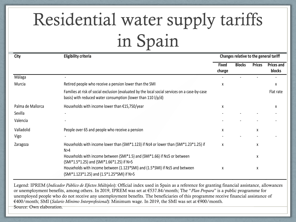| City              | <b>Eligibility criteria</b>                                                                                                                                    |                        |               | Changes relative to the general tariff |                             |  |  |
|-------------------|----------------------------------------------------------------------------------------------------------------------------------------------------------------|------------------------|---------------|----------------------------------------|-----------------------------|--|--|
|                   |                                                                                                                                                                | <b>Fixed</b><br>charge | <b>Blocks</b> | <b>Prices</b>                          | <b>Prices and</b><br>blocks |  |  |
| Málaga            | $\overline{\phantom{a}}$                                                                                                                                       |                        |               |                                        |                             |  |  |
| Murcia            | Retired people who receive a pension lower than the SMI                                                                                                        | X                      |               |                                        | X                           |  |  |
|                   | Families at risk of social exclusion (evaluated by the local social services on a case-by-case<br>basis) with reduced water consumption (lower than 110 l/p/d) |                        |               |                                        | Flat rate                   |  |  |
| Palma de Mallorca | Households with income lower than €15,750/year                                                                                                                 | x                      |               |                                        | x                           |  |  |
| Sevilla           |                                                                                                                                                                |                        |               |                                        |                             |  |  |
| Valencia          |                                                                                                                                                                |                        |               |                                        |                             |  |  |
| Valladolid        | People over 65 and people who receive a pension                                                                                                                | x                      |               | x                                      |                             |  |  |
| Vigo              |                                                                                                                                                                |                        |               |                                        |                             |  |  |
| Zaragoza          | Households with income lower than (SMI*1.123) if N≤4 or lower than (SMI*1.23*1.25) if<br>N>4                                                                   | X                      |               | X                                      |                             |  |  |
|                   | Households with income between (SMI*1.5) and (SMI*1.66) if N≤5 or between<br>(SMI*1.5*1.25) and (SMI*1.66*1.25) if N>5                                         |                        |               | x                                      |                             |  |  |
|                   | Households with income between (1.123*SMI) and (1.5*SMI) if N≤5 and between<br>(SMI*1.123*1.25) and (1.5*1.25*SMI) if N>5                                      | X                      |               | X                                      |                             |  |  |

Legend: IPREM (*Indicador Público de Efectos Múltiples*): Official index used in Spain as a reference for granting financial assistance, allowances or unemployment benefits, among others. In 2019, IPREM was set at €537.84/month; The "*Plan Prepara*" is a public programme for unemployed people who do not receive any unemployment benefits. The beneficiaries of this programme receive financial assistance of €400/month; SMI (*Salario Mínimo Interprofesional*): Minimum wage. In 2019, the SMI was set at €900/month. Source: Own elaboration.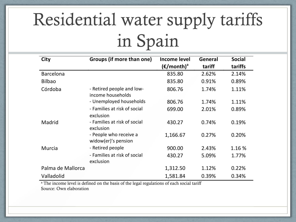| <b>City</b>       | Groups (if more than one)                      | <b>Income level</b>              | General | <b>Social</b> |
|-------------------|------------------------------------------------|----------------------------------|---------|---------------|
|                   |                                                | $(\epsilon$ /month) <sup>a</sup> | tariff  | tariffs       |
| <b>Barcelona</b>  |                                                | 835.80                           | 2.62%   | 2.14%         |
| <b>Bilbao</b>     |                                                | 835.80                           | 0.91%   | 0.89%         |
| Córdoba           | - Retired people and low-<br>income households | 806.76                           | 1.74%   | 1.11%         |
|                   | - Unemployed households                        | 806.76                           | 1.74%   | 1.11%         |
|                   | - Families at risk of social<br>exclusion      | 699.00                           | 2.01%   | 0.89%         |
| Madrid            | - Families at risk of social<br>exclusion      | 430.27                           | 0.74%   | 0.19%         |
|                   | - People who receive a<br>widow(er)'s pension  | 1,166.67                         | 0.27%   | 0.20%         |
| Murcia            | - Retired people                               | 900.00                           | 2.43%   | 1.16 %        |
|                   | - Families at risk of social<br>exclusion      | 430.27                           | 5.09%   | 1.77%         |
| Palma de Mallorca |                                                | 1,312.50                         | 1.12%   | 0.22%         |
| Valladolid        |                                                | 1,581.84                         | 0.39%   | 0.34%         |

<sup>a</sup> The income level is defined on the basis of the legal regulations of each social tariff Source: Own elaboration